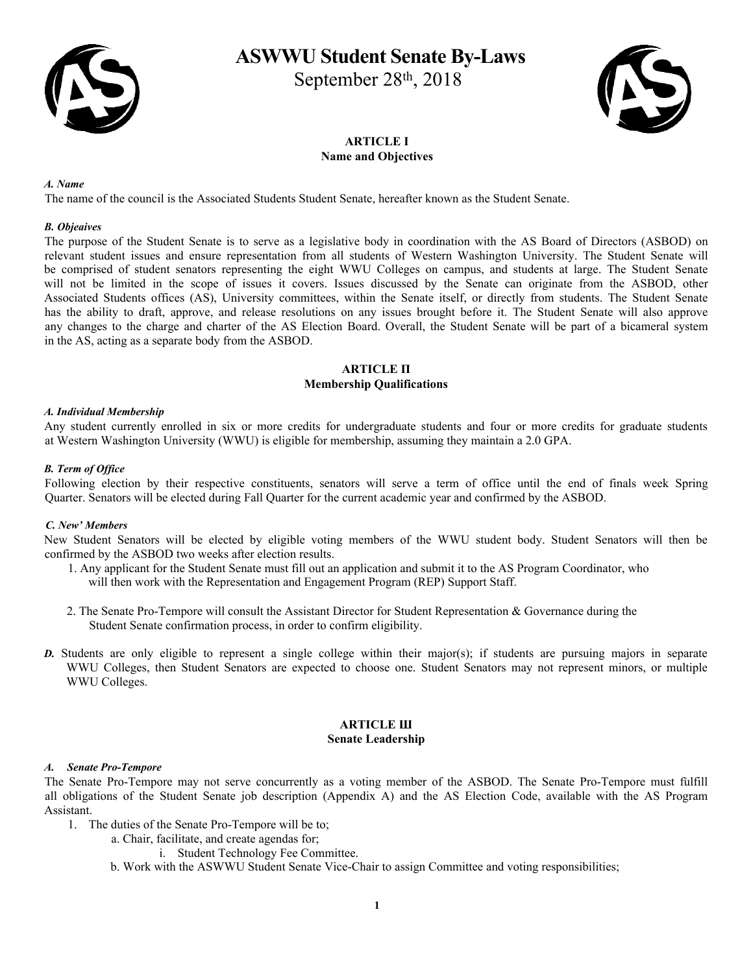

# **ASWWU Student Senate By-Laws**

September 28th, 2018



# **ARTICLE I Name and Objectives**

### *A. Name*

The name of the council is the Associated Students Student Senate, hereafter known as the Student Senate.

### *B. Objeaives*

The purpose of the Student Senate is to serve as a legislative body in coordination with the AS Board of Directors (ASBOD) on relevant student issues and ensure representation from all students of Western Washington University. The Student Senate will be comprised of student senators representing the eight WWU Colleges on campus, and students at large. The Student Senate will not be limited in the scope of issues it covers. Issues discussed by the Senate can originate from the ASBOD, other Associated Students offices (AS), University committees, within the Senate itself, or directly from students. The Student Senate has the ability to draft, approve, and release resolutions on any issues brought before it. The Student Senate will also approve any changes to the charge and charter of the AS Election Board. Overall, the Student Senate will be part of a bicameral system in the AS, acting as a separate body from the ASBOD.

# **ARTICLE П Membership Qualifications**

### *A. Individual Membership*

Any student currently enrolled in six or more credits for undergraduate students and four or more credits for graduate students at Western Washington University (WWU) is eligible for membership, assuming they maintain a 2.0 GPA.

### *B. Term of Office*

Following election by their respective constituents, senators will serve a term of office until the end of finals week Spring Quarter. Senators will be elected during Fall Quarter for the current academic year and confirmed by the ASBOD.

### *C. New' Members*

New Student Senators will be elected by eligible voting members of the WWU student body. Student Senators will then be confirmed by the ASBOD two weeks after election results.

- 1. Any applicant for the Student Senate must fill out an application and submit it to the AS Program Coordinator, who will then work with the Representation and Engagement Program (REP) Support Staff.
- 2. The Senate Pro-Tempore will consult the Assistant Director for Student Representation & Governance during the Student Senate confirmation process, in order to confirm eligibility.
- *D.* Students are only eligible to represent a single college within their major(s); if students are pursuing majors in separate WWU Colleges, then Student Senators are expected to choose one. Student Senators may not represent minors, or multiple WWU Colleges.

### **ARTICLE Ш Senate Leadership**

### *A. Senate Pro-Tempore*

The Senate Pro-Tempore may not serve concurrently as a voting member of the ASBOD. The Senate Pro-Tempore must fulfill all obligations of the Student Senate job description (Appendix A) and the AS Election Code, available with the AS Program Assistant.

- 1. The duties of the Senate Pro-Tempore will be to;
	- a. Chair, facilitate, and create agendas for;
		- i. Student Technology Fee Committee.
	- b. Work with the ASWWU Student Senate Vice-Chair to assign Committee and voting responsibilities;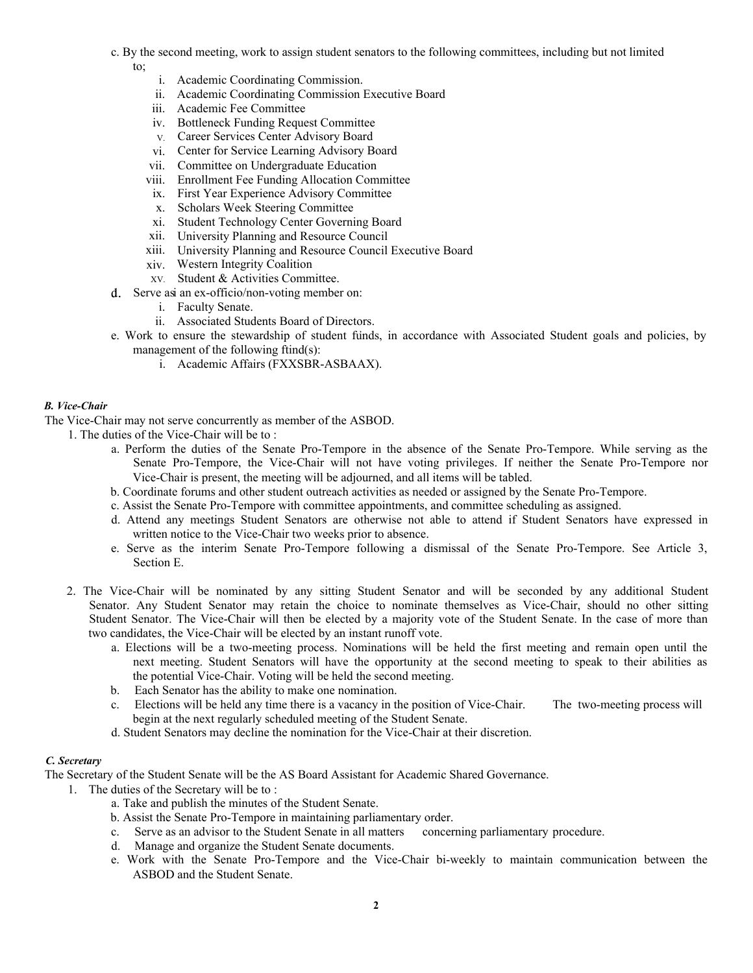- c. By the second meeting, work to assign student senators to the following committees, including but not limited to;
	- i. Academic Coordinating Commission.
	- ii. Academic Coordinating Commission Executive Board
	- iii. Academic Fee Committee
	- iv. Bottleneck Funding Request Committee
	- V. Career Services Center Advisory Board
	- vi. Center for Service Learning Advisory Board
	- vii. Committee on Undergraduate Education
	- viii. Enrollment Fee Funding Allocation Committee
	- ix. First Year Experience Advisory Committee
	- x. Scholars Week Steering Committee
	- xi. Student Technology Center Governing Board
	- xii. University Planning and Resource Council
	- xiii. University Planning and Resource Council Executive Board
	- xiv. Western Integrity Coalition
	- XV. Student & Activities Committee.
- d. Serve as an ex-officio/non-voting member on:
	- i. Faculty Senate.
	- ii. Associated Students Board of Directors.
- e. Work to ensure the stewardship of student funds, in accordance with Associated Student goals and policies, by management of the following ftind(s):
	- i. Academic Affairs (FXXSBR-ASBAAX).

# *B. Vice-Chair*

The Vice-Chair may not serve concurrently as member of the ASBOD.

- 1. The duties of the Vice-Chair will be to :
	- a. Perform the duties of the Senate Pro-Tempore in the absence of the Senate Pro-Tempore. While serving as the Senate Pro-Tempore, the Vice-Chair will not have voting privileges. If neither the Senate Pro-Tempore nor Vice-Chair is present, the meeting will be adjourned, and all items will be tabled.
	- b. Coordinate forums and other student outreach activities as needed or assigned by the Senate Pro-Tempore.
	- c. Assist the Senate Pro-Tempore with committee appointments, and committee scheduling as assigned.
	- d. Attend any meetings Student Senators are otherwise not able to attend if Student Senators have expressed in written notice to the Vice-Chair two weeks prior to absence.
	- e. Serve as the interim Senate Pro-Tempore following a dismissal of the Senate Pro-Tempore. See Article 3, Section E.
- 2. The Vice-Chair will be nominated by any sitting Student Senator and will be seconded by any additional Student Senator. Any Student Senator may retain the choice to nominate themselves as Vice-Chair, should no other sitting Student Senator. The Vice-Chair will then be elected by a majority vote of the Student Senate. In the case of more than two candidates, the Vice-Chair will be elected by an instant runoff vote.
	- a. Elections will be a two-meeting process. Nominations will be held the first meeting and remain open until the next meeting. Student Senators will have the opportunity at the second meeting to speak to their abilities as the potential Vice-Chair. Voting will be held the second meeting.
	- b. Each Senator has the ability to make one nomination.
	- c. Elections will be held any time there is a vacancy in the position of Vice-Chair. The two-meeting process will begin at the next regularly scheduled meeting of the Student Senate.
	- d. Student Senators may decline the nomination for the Vice-Chair at their discretion.

### *C. Secretary*

The Secretary of the Student Senate will be the AS Board Assistant for Academic Shared Governance.

- 1. The duties of the Secretary will be to :
	- a. Take and publish the minutes of the Student Senate.
	- b. Assist the Senate Pro-Tempore in maintaining parliamentary order.
	- c. Serve as an advisor to the Student Senate in all matters concerning parliamentary procedure.
	- d. Manage and organize the Student Senate documents.
	- e. Work with the Senate Pro-Tempore and the Vice-Chair bi-weekly to maintain communication between the ASBOD and the Student Senate.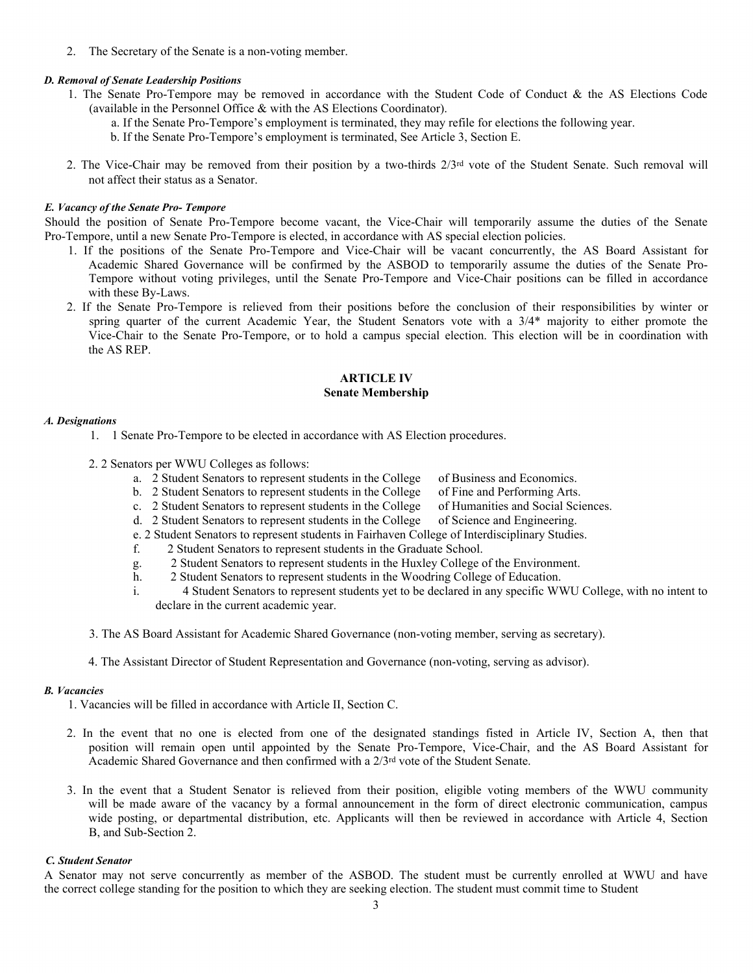2. The Secretary of the Senate is a non-voting member.

# *D. Removal of Senate Leadership Positions*

- 1. The Senate Pro-Tempore may be removed in accordance with the Student Code of Conduct & the AS Elections Code (available in the Personnel Office & with the AS Elections Coordinator).
	- a. If the Senate Pro-Tempore's employment is terminated, they may refile for elections the following year.
	- b. If the Senate Pro-Tempore's employment is terminated, See Article 3, Section E.
- 2. The Vice-Chair may be removed from their position by a two-thirds  $2/3$ <sup>rd</sup> vote of the Student Senate. Such removal will not affect their status as a Senator.

### *E. Vacancy of the Senate Pro- Tempore*

Should the position of Senate Pro-Tempore become vacant, the Vice-Chair will temporarily assume the duties of the Senate Pro-Tempore, until a new Senate Pro-Tempore is elected, in accordance with AS special election policies.

- 1. If the positions of the Senate Pro-Tempore and Vice-Chair will be vacant concurrently, the AS Board Assistant for Academic Shared Governance will be confirmed by the ASBOD to temporarily assume the duties of the Senate Pro-Tempore without voting privileges, until the Senate Pro-Tempore and Vice-Chair positions can be filled in accordance with these By-Laws.
- 2. If the Senate Pro-Tempore is relieved from their positions before the conclusion of their responsibilities by winter or spring quarter of the current Academic Year, the Student Senators vote with a 3/4\* majority to either promote the Vice-Chair to the Senate Pro-Tempore, or to hold a campus special election. This election will be in coordination with the AS REP.

# **ARTICLE IV Senate Membership**

### *A. Designations*

- 1. 1 Senate Pro-Tempore to be elected in accordance with AS Election procedures.
- 2. 2 Senators per WWU Colleges as follows:
	- a. 2 Student Senators to represent students in the College of Business and Economics.
	- b. 2 Student Senators to represent students in the College of Fine and Performing Arts.
		-
	- c. 2 Student Senators to represent students in the College of Humanities and Social Sciences.<br>d. 2 Student Senators to represent students in the College of Science and Engineering.
	- d. 2 Student Senators to represent students in the College
	- e. 2 Student Senators to represent students in Fairhaven College of Interdisciplinary Studies.
	- f. 2 Student Senators to represent students in the Graduate School.
	- g. 2 Student Senators to represent students in the Huxley College of the Environment.
	- h. 2 Student Senators to represent students in the Woodring College of Education.
	- i. 4 Student Senators to represent students yet to be declared in any specific WWU College, with no intent to declare in the current academic year.
- 3. The AS Board Assistant for Academic Shared Governance (non-voting member, serving as secretary).
- 4. The Assistant Director of Student Representation and Governance (non-voting, serving as advisor).

### *B. Vacancies*

- 1. Vacancies will be filled in accordance with Article II, Section C.
- 2. In the event that no one is elected from one of the designated standings fisted in Article IV, Section A, then that position will remain open until appointed by the Senate Pro-Tempore, Vice-Chair, and the AS Board Assistant for Academic Shared Governance and then confirmed with a 2/3rd vote of the Student Senate.
- 3. In the event that a Student Senator is relieved from their position, eligible voting members of the WWU community will be made aware of the vacancy by a formal announcement in the form of direct electronic communication, campus wide posting, or departmental distribution, etc. Applicants will then be reviewed in accordance with Article 4, Section B, and Sub-Section 2.

### *C. Student Senator*

A Senator may not serve concurrently as member of the ASBOD. The student must be currently enrolled at WWU and have the correct college standing for the position to which they are seeking election. The student must commit time to Student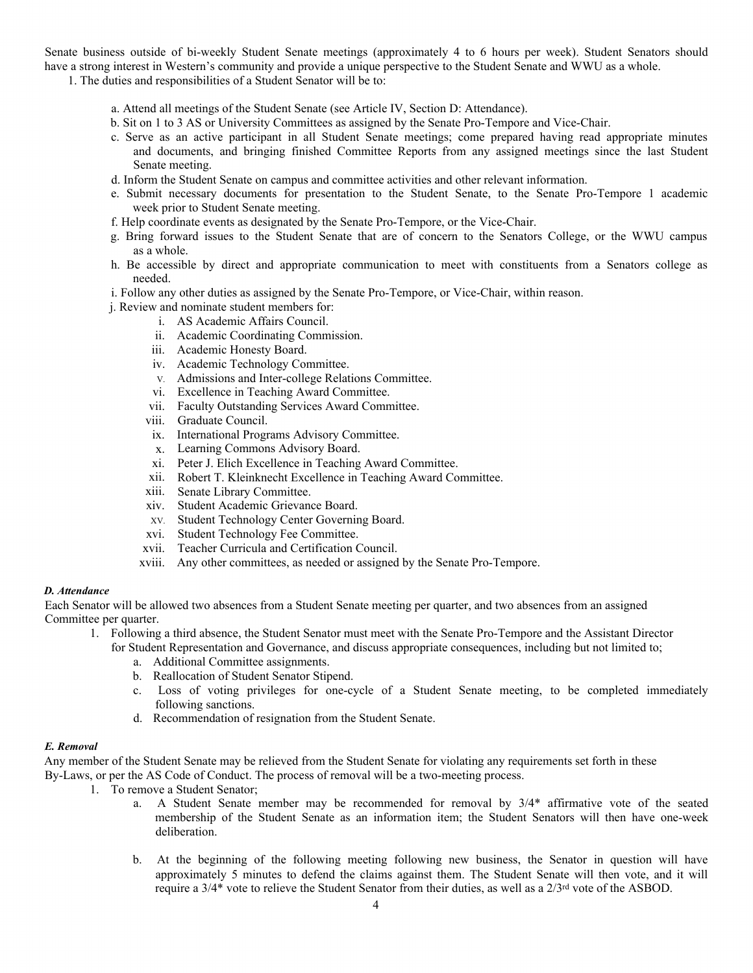Senate business outside of bi-weekly Student Senate meetings (approximately 4 to 6 hours per week). Student Senators should have a strong interest in Western's community and provide a unique perspective to the Student Senate and WWU as a whole.

1. The duties and responsibilities of a Student Senator will be to:

- a. Attend all meetings of the Student Senate (see Article IV, Section D: Attendance).
- b. Sit on 1 to 3 AS or University Committees as assigned by the Senate Pro-Tempore and Vice-Chair.
- c. Serve as an active participant in all Student Senate meetings; come prepared having read appropriate minutes and documents, and bringing finished Committee Reports from any assigned meetings since the last Student Senate meeting.
- d. Inform the Student Senate on campus and committee activities and other relevant information.
- e. Submit necessary documents for presentation to the Student Senate, to the Senate Pro-Tempore 1 academic week prior to Student Senate meeting.
- f. Help coordinate events as designated by the Senate Pro-Tempore, or the Vice-Chair.
- g. Bring forward issues to the Student Senate that are of concern to the Senators College, or the WWU campus as a whole.
- h. Be accessible by direct and appropriate communication to meet with constituents from a Senators college as needed.
- i. Follow any other duties as assigned by the Senate Pro-Tempore, or Vice-Chair, within reason.
- j. Review and nominate student members for:
	- i. AS Academic Affairs Council.
	- ii. Academic Coordinating Commission.
	- iii. Academic Honesty Board.
	- iv. Academic Technology Committee.
	- V. Admissions and Inter-college Relations Committee.
	- vi. Excellence in Teaching Award Committee.
	- vii. Faculty Outstanding Services Award Committee.
	- viii. Graduate Council.
	- ix. International Programs Advisory Committee.
	- x. Learning Commons Advisory Board.
	- xi. Peter J. Elich Excellence in Teaching Award Committee.
	- xii. Robert T. Kleinknecht Excellence in Teaching Award Committee.
	- xiii. Senate Library Committee.
	- xiv. Student Academic Grievance Board.
	- XV. Student Technology Center Governing Board.
	- xvi. Student Technology Fee Committee.
	- xvii. Teacher Curricula and Certification Council.
	- xviii. Any other committees, as needed or assigned by the Senate Pro-Tempore.

### *D. Attendance*

Each Senator will be allowed two absences from a Student Senate meeting per quarter, and two absences from an assigned Committee per quarter.

- 1. Following a third absence, the Student Senator must meet with the Senate Pro-Tempore and the Assistant Director for Student Representation and Governance, and discuss appropriate consequences, including but not limited to;
	- a. Additional Committee assignments.
	- b. Reallocation of Student Senator Stipend.
	- c. Loss of voting privileges for one-cycle of a Student Senate meeting, to be completed immediately following sanctions.
	- d. Recommendation of resignation from the Student Senate.

### *E. Removal*

Any member of the Student Senate may be relieved from the Student Senate for violating any requirements set forth in these By-Laws, or per the AS Code of Conduct. The process of removal will be a two-meeting process.

- 1. To remove a Student Senator;
	- a. A Student Senate member may be recommended for removal by  $3/4*$  affirmative vote of the seated membership of the Student Senate as an information item; the Student Senators will then have one-week deliberation.
	- b. At the beginning of the following meeting following new business, the Senator in question will have approximately 5 minutes to defend the claims against them. The Student Senate will then vote, and it will require a 3/4\* vote to relieve the Student Senator from their duties, as well as a 2/3rd vote of the ASBOD.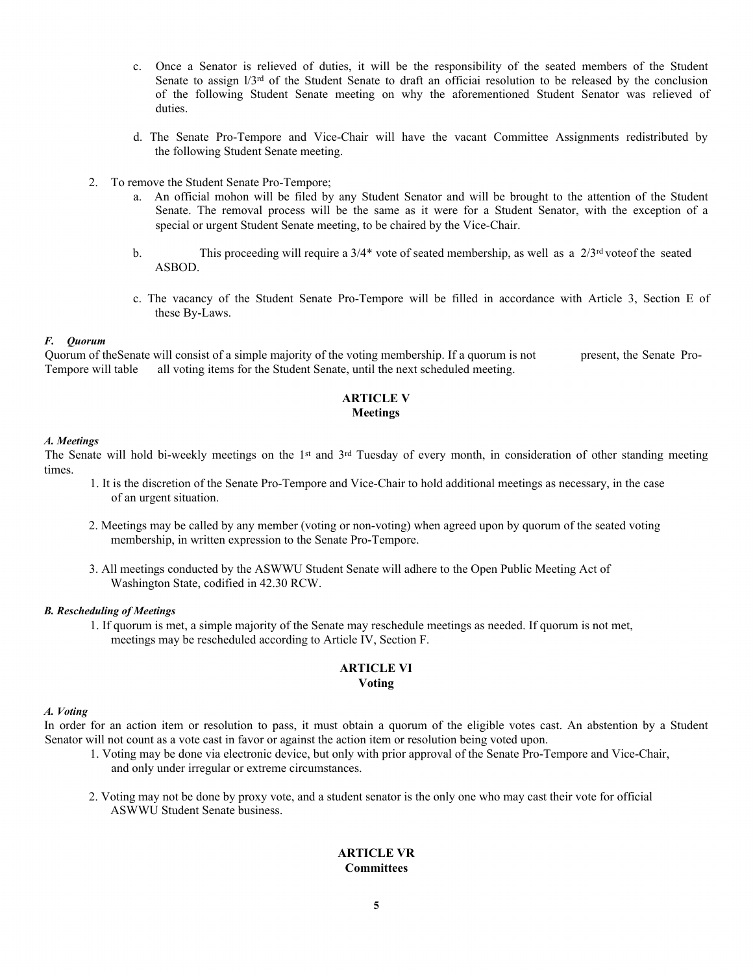- c. Once a Senator is relieved of duties, it will be the responsibility of the seated members of the Student Senate to assign l/3rd of the Student Senate to draft an officiai resolution to be released by the conclusion of the following Student Senate meeting on why the aforementioned Student Senator was relieved of duties.
- d. The Senate Pro-Tempore and Vice-Chair will have the vacant Committee Assignments redistributed by the following Student Senate meeting.
- 2. To remove the Student Senate Pro-Tempore;
	- a. An official mohon will be filed by any Student Senator and will be brought to the attention of the Student Senate. The removal process will be the same as it were for a Student Senator, with the exception of a special or urgent Student Senate meeting, to be chaired by the Vice-Chair.
	- b. This proceeding will require a  $3/4^*$  vote of seated membership, as well as a  $2/3^{rd}$  vote of the seated ASBOD.
	- c. The vacancy of the Student Senate Pro-Tempore will be filled in accordance with Article 3, Section E of these By-Laws.

# *F. Quorum*

Quorum of the Senate will consist of a simple majority of the voting membership. If a quorum is not present, the Senate Pro-Tempore will table all voting items for the Student Senate, until the next scheduled meeting.

# **ARTICLE V**

# **Meetings**

### *A. Meetings*

The Senate will hold bi-weekly meetings on the 1<sup>st</sup> and  $3<sup>rd</sup>$  Tuesday of every month, in consideration of other standing meeting times.

- 1. It is the discretion of the Senate Pro-Tempore and Vice-Chair to hold additional meetings as necessary, in the case of an urgent situation.
- 2. Meetings may be called by any member (voting or non-voting) when agreed upon by quorum of the seated voting membership, in written expression to the Senate Pro-Tempore.
- 3. All meetings conducted by the ASWWU Student Senate will adhere to the Open Public Meeting Act of Washington State, codified in 42.30 RCW.

### *B. Rescheduling of Meetings*

1. If quorum is met, a simple majority of the Senate may reschedule meetings as needed. If quorum is not met, meetings may be rescheduled according to Article IV, Section F.

# **ARTICLE VI Voting**

# *A. Voting*

In order for an action item or resolution to pass, it must obtain a quorum of the eligible votes cast. An abstention by a Student Senator will not count as a vote cast in favor or against the action item or resolution being voted upon.

- 1. Voting may be done via electronic device, but only with prior approval of the Senate Pro-Tempore and Vice-Chair, and only under irregular or extreme circumstances.
- 2. Voting may not be done by proxy vote, and a student senator is the only one who may cast their vote for official ASWWU Student Senate business.

# **ARTICLE VR Committees**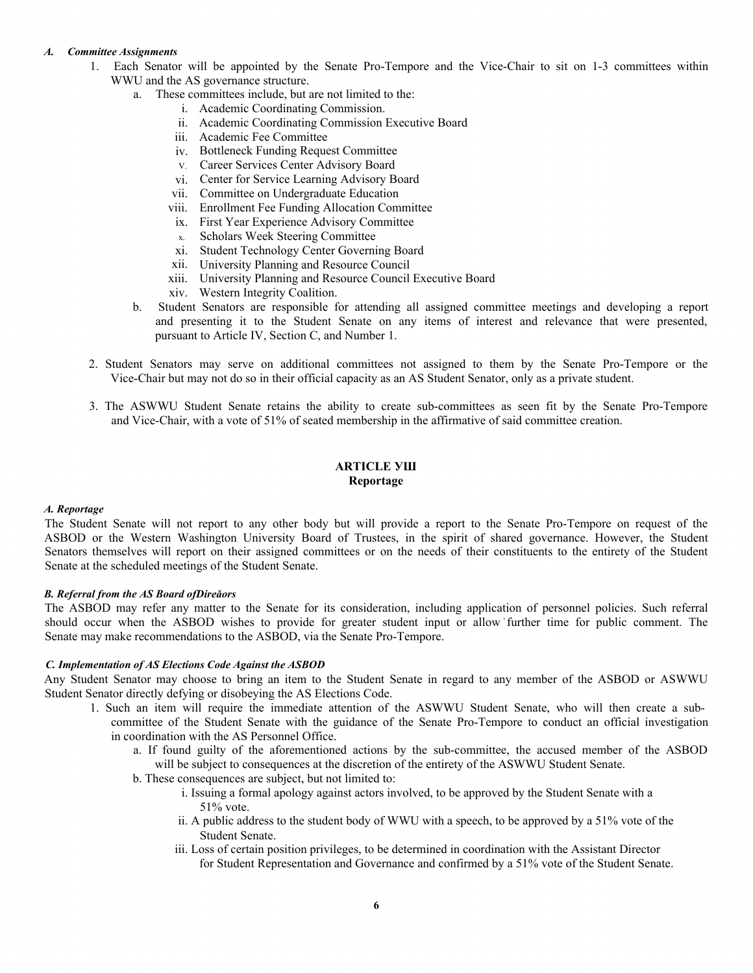### *A. Committee Assignments*

- 1. Each Senator will be appointed by the Senate Pro-Tempore and the Vice-Chair to sit on 1-3 committees within WWU and the AS governance structure.
	- a. These committees include, but are not limited to the:
		- i. Academic Coordinating Commission.
		- ii. Academic Coordinating Commission Executive Board
		- iii. Academic Fee Committee
		- iv. Bottleneck Funding Request Committee
		- V. Career Services Center Advisory Board
		- vi. Center for Service Learning Advisory Board
		- vii. Committee on Undergraduate Education
		- viii. Enrollment Fee Funding Allocation Committee
		- ix. First Year Experience Advisory Committee
		- x. Scholars Week Steering Committee
		- xi. Student Technology Center Governing Board
		- xii. University Planning and Resource Council
		- xiii. University Planning and Resource Council Executive Board
		- xiv. Western Integrity Coalition.
	- b. Student Senators are responsible for attending all assigned committee meetings and developing a report and presenting it to the Student Senate on any items of interest and relevance that were presented, pursuant to Article IV, Section C, and Number 1.
- 2. Student Senators may serve on additional committees not assigned to them by the Senate Pro-Tempore or the Vice-Chair but may not do so in their official capacity as an AS Student Senator, only as a private student.
- 3. The ASWWU Student Senate retains the ability to create sub-committees as seen fit by the Senate Pro-Tempore and Vice-Chair, with a vote of 51% of seated membership in the affirmative of said committee creation.

# **ARTICLE УШ Reportage**

### *A. Reportage*

The Student Senate will not report to any other body but will provide a report to the Senate Pro-Tempore on request of the ASBOD or the Western Washington University Board of Trustees, in the spirit of shared governance. However, the Student Senators themselves will report on their assigned committees or on the needs of their constituents to the entirety of the Student Senate at the scheduled meetings of the Student Senate.

# *B. Referral from the AS Board ofDireăors*

The ASBOD may refer any matter to the Senate for its consideration, including application of personnel policies. Such referral should occur when the ASBOD wishes to provide for greater student input or allow further time for public comment. The Senate may make recommendations to the ASBOD, via the Senate Pro-Tempore.

### *C. Implementation of AS Elections Code Against the ASBOD*

Any Student Senator may choose to bring an item to the Student Senate in regard to any member of the ASBOD or ASWWU Student Senator directly defying or disobeying the AS Elections Code.

- 1. Such an item will require the immediate attention of the ASWWU Student Senate, who will then create a subcommittee of the Student Senate with the guidance of the Senate Pro-Tempore to conduct an official investigation in coordination with the AS Personnel Office.
	- a. If found guilty of the aforementioned actions by the sub-committee, the accused member of the ASBOD will be subject to consequences at the discretion of the entirety of the ASWWU Student Senate.
	- b. These consequences are subject, but not limited to:
		- i. Issuing a formal apology against actors involved, to be approved by the Student Senate with a 51% vote.
		- ii. A public address to the student body of WWU with a speech, to be approved by a 51% vote of the Student Senate.
		- iii. Loss of certain position privileges, to be determined in coordination with the Assistant Director for Student Representation and Governance and confirmed by a 51% vote of the Student Senate.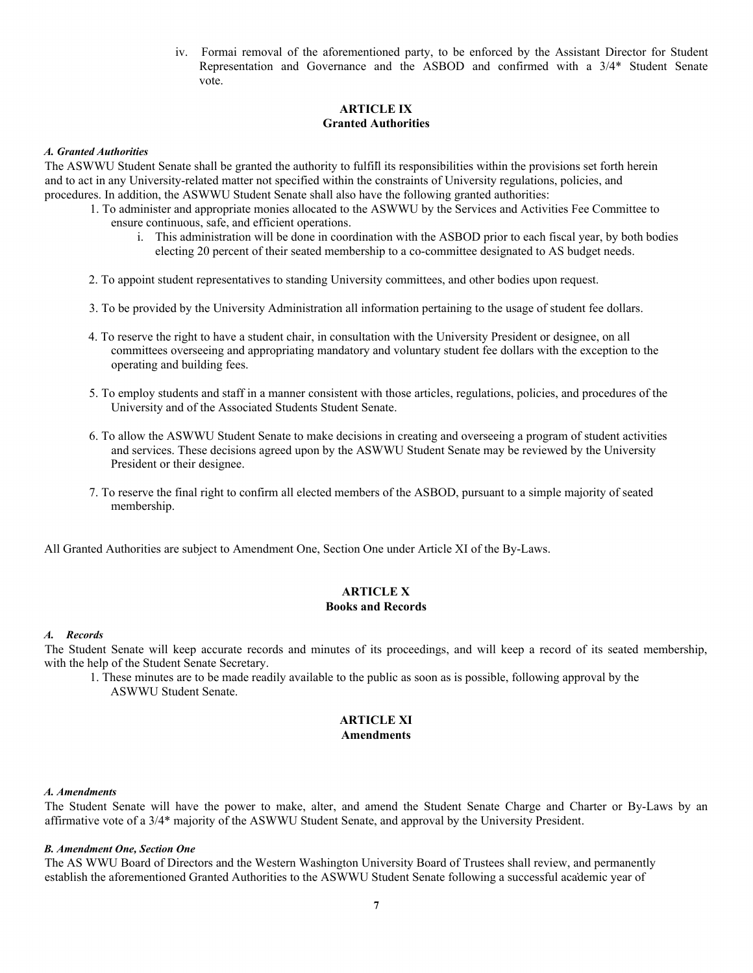iv. Formai removal of the aforementioned party, to be enforced by the Assistant Director for Student Representation and Governance and the ASBOD and confirmed with a 3/4\* Student Senate vote.

# **ARTICLE IX Granted Authorities**

### *A. Granted Authorities*

The ASWWU Student Senate shall be granted the authority to fulfill its responsibilities within the provisions set forth herein and to act in any University-related matter not specified within the constraints of University regulations, policies, and procedures. In addition, the ASWWU Student Senate shall also have the following granted authorities:

- 1. To administer and appropriate monies allocated to the ASWWU by the Services and Activities Fee Committee to ensure continuous, safe, and efficient operations.
	- i. This administration will be done in coordination with the ASBOD prior to each fiscal year, by both bodies electing 20 percent of their seated membership to a co-committee designated to AS budget needs.
- 2. To appoint student representatives to standing University committees, and other bodies upon request.
- 3. To be provided by the University Administration all information pertaining to the usage of student fee dollars.
- 4. To reserve the right to have a student chair, in consultation with the University President or designee, on all committees overseeing and appropriating mandatory and voluntary student fee dollars with the exception to the operating and building fees.
- 5. To employ students and staff in a manner consistent with those articles, regulations, policies, and procedures of the University and of the Associated Students Student Senate.
- 6. To allow the ASWWU Student Senate to make decisions in creating and overseeing a program of student activities and services. These decisions agreed upon by the ASWWU Student Senate may be reviewed by the University President or their designee.
- 7. To reserve the final right to confirm all elected members of the ASBOD, pursuant to a simple majority of seated membership.

All Granted Authorities are subject to Amendment One, Section One under Article XI of the By-Laws.

# **ARTICLE X Books and Records**

# *A. Records*

The Student Senate will keep accurate records and minutes of its proceedings, and will keep a record of its seated membership, with the help of the Student Senate Secretary.

1. These minutes are to be made readily available to the public as soon as is possible, following approval by the ASWWU Student Senate.

### **ARTICLE XI Amendments**

### *A. Amendments*

The Student Senate will have the power to make, alter, and amend the Student Senate Charge and Charter or By-Laws by an affirmative vote of a 3/4\* majority of the ASWWU Student Senate, and approval by the University President.

### *B. Amendment One, Section One*

The AS WWU Board of Directors and the Western Washington University Board of Trustees shall review, and permanently establish the aforementioned Granted Authorities to the ASWWU Student Senate following a successful academic year of